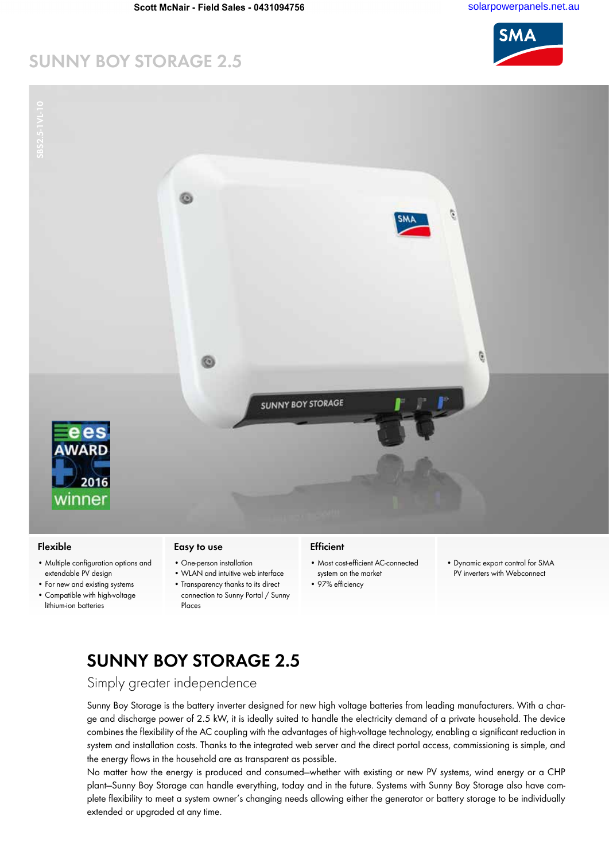# **SUNNY BOY STORAGE 2.5**



#### **Flexible**

- Multiple configuration options and extendable PV design
- For new and existing systems • Compatible with high-voltage lithium-ion batteries

#### **Easy to use**

- One-person installation
	- WLAN and intuitive web interface
	- Transparency thanks to its direct connection to Sunny Portal / Sunny Places

#### **Efficient**

- Most cost-efficient AC-connected system on the market
- 97% efficiency
- Dynamic export control for SMA PV inverters with Webconnect

# **SUNNY BOY STORAGE 2.5**

Simply greater independence

Sunny Boy Storage is the battery inverter designed for new high voltage batteries from leading manufacturers. With a charge and discharge power of 2.5 kW, it is ideally suited to handle the electricity demand of a private household. The device combines the flexibility of the AC coupling with the advantages of high-voltage technology, enabling a significant reduction in system and installation costs. Thanks to the integrated web server and the direct portal access, commissioning is simple, and the energy flows in the household are as transparent as possible.

No matter how the energy is produced and consumed—whether with existing or new PV systems, wind energy or a CHP plant—Sunny Boy Storage can handle everything, today and in the future. Systems with Sunny Boy Storage also have complete flexibility to meet a system owner's changing needs allowing either the generator or battery storage to be individually extended or upgraded at any time.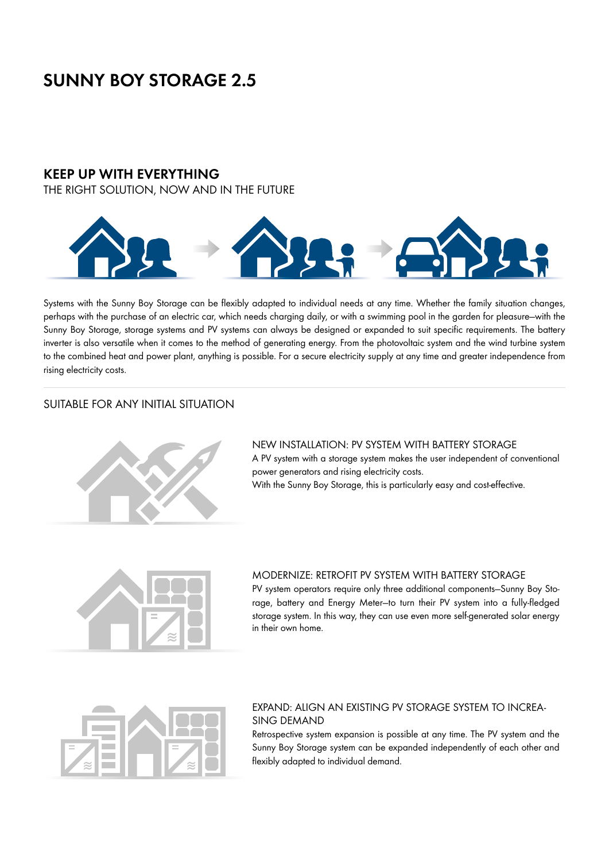# **SUNNY BOY STORAGE 2.5**

## **KEEP UP WITH EVERYTHING**

THE RIGHT SOLUTION, NOW AND IN THE FUTURE



Systems with the Sunny Boy Storage can be flexibly adapted to individual needs at any time. Whether the family situation changes, perhaps with the purchase of an electric car, which needs charging daily, or with a swimming pool in the garden for pleasure—with the Sunny Boy Storage, storage systems and PV systems can always be designed or expanded to suit specific requirements. The battery inverter is also versatile when it comes to the method of generating energy. From the photovoltaic system and the wind turbine system to the combined heat and power plant, anything is possible. For a secure electricity supply at any time and greater independence from rising electricity costs.

## SUITABLE FOR ANY INITIAL SITUATION



## NEW INSTALLATION: PV SYSTEM WITH BATTERY STORAGE

A PV system with a storage system makes the user independent of conventional power generators and rising electricity costs.

With the Sunny Boy Storage, this is particularly easy and cost-effective.



### MODERNIZE: RETROFIT PV SYSTEM WITH BATTERY STORAGE

PV system operators require only three additional components—Sunny Boy Storage, battery and Energy Meter—to turn their PV system into a fully-fledged storage system. In this way, they can use even more self-generated solar energy in their own home.



## EXPAND: ALIGN AN EXISTING PV STORAGE SYSTEM TO INCREA-SING DEMAND

Retrospective system expansion is possible at any time. The PV system and the Sunny Boy Storage system can be expanded independently of each other and flexibly adapted to individual demand.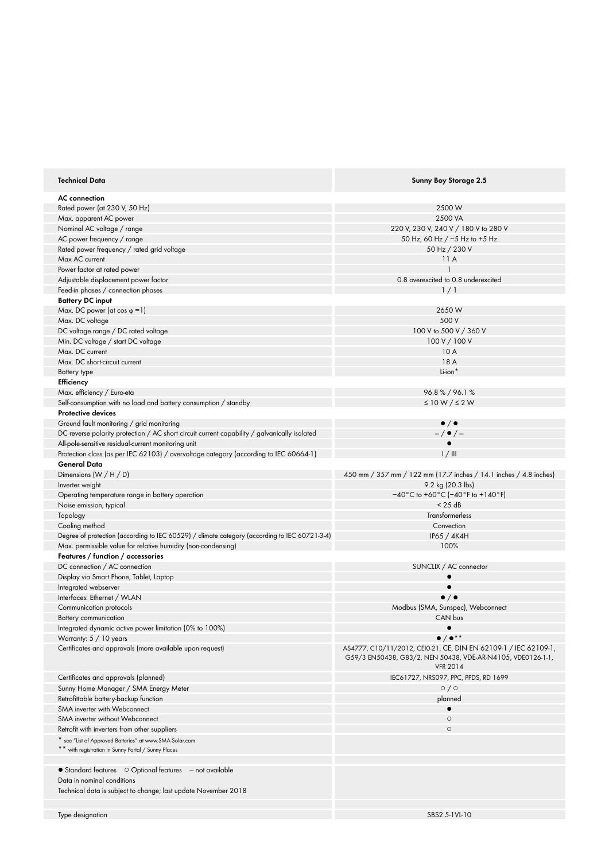| <b>Technical Data</b>                                                                         | Sunny Boy Storage 2.5                                                          |
|-----------------------------------------------------------------------------------------------|--------------------------------------------------------------------------------|
| <b>AC</b> connection                                                                          |                                                                                |
| Rated power (at 230 V, 50 Hz)                                                                 | 2500 W                                                                         |
| Max. apparent AC power                                                                        | 2500 VA                                                                        |
| Nominal AC voltage / range                                                                    | 220 V, 230 V, 240 V / 180 V to 280 V                                           |
| AC power frequency / range                                                                    | 50 Hz, 60 Hz $/$ -5 Hz to +5 Hz                                                |
|                                                                                               | 50 Hz / 230 V                                                                  |
| Rated power frequency / rated grid voltage                                                    |                                                                                |
| Max AC current                                                                                | 11A                                                                            |
| Power factor at rated power                                                                   |                                                                                |
| Adjustable displacement power factor                                                          | 0.8 overexcited to 0.8 underexcited                                            |
| Feed-in phases / connection phases                                                            | 1/1                                                                            |
| <b>Battery DC input</b>                                                                       |                                                                                |
| Max. DC power (at cos $\varphi = 1$ )                                                         | 2650W                                                                          |
| Max. DC voltage                                                                               | 500 V                                                                          |
| DC voltage range / DC rated voltage                                                           | 100 V to 500 V / 360 V                                                         |
| Min. DC voltage / start DC voltage                                                            | 100 V / 100 V                                                                  |
| Max. DC current                                                                               | 10A                                                                            |
| Max. DC short-circuit current                                                                 | 18 A                                                                           |
|                                                                                               |                                                                                |
| Battery type                                                                                  | Li-ion*                                                                        |
| Efficiency                                                                                    |                                                                                |
| Max. efficiency / Euro-eta                                                                    | 96.8%/96.1%                                                                    |
| Self-consumption with no load and battery consumption / standby                               | $\leq 10 W / \leq 2 W$                                                         |
| Protective devices                                                                            |                                                                                |
| Ground fault monitoring / grid monitoring                                                     | $\bullet$ / $\bullet$                                                          |
| DC reverse polarity protection / AC short circuit current capability / galvanically isolated  | $-\left/$ $\bullet$ $\left/$ $-$                                               |
| All-pole-sensitive residual-current monitoring unit                                           |                                                                                |
|                                                                                               |                                                                                |
| Protection class (as per IEC 62103) / overvoltage category (according to IEC 60664-1)         | 1/11                                                                           |
| General Data                                                                                  |                                                                                |
| Dimensions $(W/H/D)$                                                                          | 450 mm / 357 mm / 122 mm (17.7 inches / 14.1 inches / 4.8 inches)              |
| Inverter weight                                                                               | 9.2 kg (20.3 lbs)                                                              |
| Operating temperature range in battery operation                                              | $-40\degree$ C to +60 $\degree$ C (-40 $\degree$ F to +140 $\degree$ F)        |
| Noise emission, typical                                                                       | $<$ 25 dB                                                                      |
| Topology                                                                                      | Transformerless                                                                |
| Cooling method                                                                                | Convection                                                                     |
| Degree of protection (according to IEC 60529) / climate category (according to IEC 60721-3-4) | IP65 / 4K4H                                                                    |
| Max. permissible value for relative humidity (non-condensing)                                 | 100%                                                                           |
|                                                                                               |                                                                                |
| Features / function / accessories                                                             |                                                                                |
| DC connection / AC connection                                                                 | SUNCLIX / AC connector                                                         |
| Display via Smart Phone, Tablet, Laptop                                                       | $\bullet$                                                                      |
| Integrated webserver                                                                          |                                                                                |
| Interfaces: Ethernet / WLAN                                                                   | $\bullet$ / $\bullet$                                                          |
| Communication protocols                                                                       | Modbus (SMA, Sunspec), Webconnect                                              |
| <b>Battery communication</b>                                                                  | CAN bus                                                                        |
| Integrated dynamic active power limitation (0% to 100%)                                       |                                                                                |
| Warranty: 5 / 10 years                                                                        | $\bullet$ / $\bullet$ **                                                       |
|                                                                                               | AS4777, C10/11/2012, CEI0-21, CE, DIN EN 62109-1 / IEC 62109-1,                |
| Certificates and approvals (more available upon request)                                      | G59/3 EN50438, G83/2, NEN 50438, VDE-AR-N4105, VDE0126-1-1,<br><b>VFR 2014</b> |
| Certificates and approvals (planned)                                                          | IEC61727, NRS097, PPC, PPDS, RD 1699                                           |
| Sunny Home Manager / SMA Energy Meter                                                         | $\circ$ / $\circ$                                                              |
|                                                                                               |                                                                                |
| Retrofittable battery-backup function                                                         | planned                                                                        |
| SMA inverter with Webconnect                                                                  |                                                                                |
| SMA inverter without Webconnect                                                               | $\circ$                                                                        |
| Retrofit with inverters from other suppliers                                                  | $\circ$                                                                        |
| * see "List of Approved Batteries" at www.SMA-Solar.com                                       |                                                                                |
| ** with registration in Sunny Portal / Sunny Places                                           |                                                                                |
|                                                                                               |                                                                                |
| • Standard features O Optional features - not available                                       |                                                                                |
| Data in nominal conditions                                                                    |                                                                                |
|                                                                                               |                                                                                |
| Technical data is subject to change; last update November 2018                                |                                                                                |
|                                                                                               |                                                                                |
| Type designation                                                                              | SBS2.5-1VL-10                                                                  |
|                                                                                               |                                                                                |